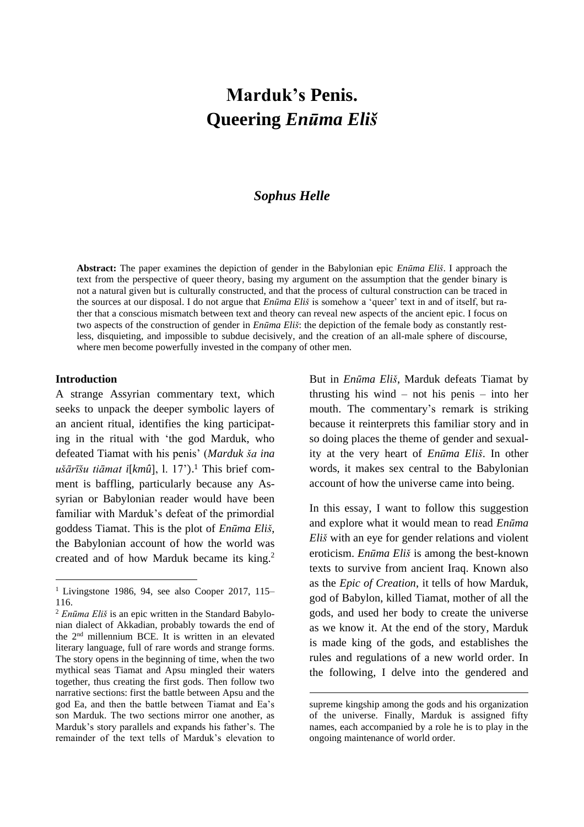# **Marduk's Penis. Queering** *Enūma Eliš*

# *Sophus Helle*

**Abstract:** The paper examines the depiction of gender in the Babylonian epic *Enūma Eliš*. I approach the text from the perspective of queer theory, basing my argument on the assumption that the gender binary is not a natural given but is culturally constructed, and that the process of cultural construction can be traced in the sources at our disposal. I do not argue that *Enūma Eliš* is somehow a 'queer' text in and of itself, but rather that a conscious mismatch between text and theory can reveal new aspects of the ancient epic. I focus on two aspects of the construction of gender in *Enūma Eliš*: the depiction of the female body as constantly restless, disquieting, and impossible to subdue decisively, and the creation of an all-male sphere of discourse, where men become powerfully invested in the company of other men.

# **Introduction**

A strange Assyrian commentary text, which seeks to unpack the deeper symbolic layers of an ancient ritual, identifies the king participating in the ritual with 'the god Marduk, who defeated Tiamat with his penis' (*Marduk ša ina ušārīšu tiāmat i*[*kmû*], l. 17').<sup>1</sup> This brief comment is baffling, particularly because any Assyrian or Babylonian reader would have been familiar with Marduk's defeat of the primordial goddess Tiamat. This is the plot of *Enūma Eliš*, the Babylonian account of how the world was created and of how Marduk became its king.<sup>2</sup> But in *Enūma Eliš*, Marduk defeats Tiamat by thrusting his wind – not his penis – into her mouth. The commentary's remark is striking because it reinterprets this familiar story and in so doing places the theme of gender and sexuality at the very heart of *Enūma Eliš*. In other words, it makes sex central to the Babylonian account of how the universe came into being.

In this essay, I want to follow this suggestion and explore what it would mean to read *Enūma Eliš* with an eye for gender relations and violent eroticism. *Enūma Eliš* is among the best-known texts to survive from ancient Iraq. Known also as the *Epic of Creation*, it tells of how Marduk, god of Babylon, killed Tiamat, mother of all the gods, and used her body to create the universe as we know it. At the end of the story, Marduk is made king of the gods, and establishes the rules and regulations of a new world order. In the following, I delve into the gendered and

 $1$  Livingstone 1986, 94, see also Cooper 2017, 115– 116.

<sup>2</sup> *Enūma Eliš* is an epic written in the Standard Babylonian dialect of Akkadian, probably towards the end of the 2nd millennium BCE. It is written in an elevated literary language, full of rare words and strange forms. The story opens in the beginning of time, when the two mythical seas Tiamat and Apsu mingled their waters together, thus creating the first gods. Then follow two narrative sections: first the battle between Apsu and the god Ea, and then the battle between Tiamat and Ea's son Marduk. The two sections mirror one another, as Marduk's story parallels and expands his father's. The remainder of the text tells of Marduk's elevation to

supreme kingship among the gods and his organization of the universe. Finally, Marduk is assigned fifty names, each accompanied by a role he is to play in the ongoing maintenance of world order.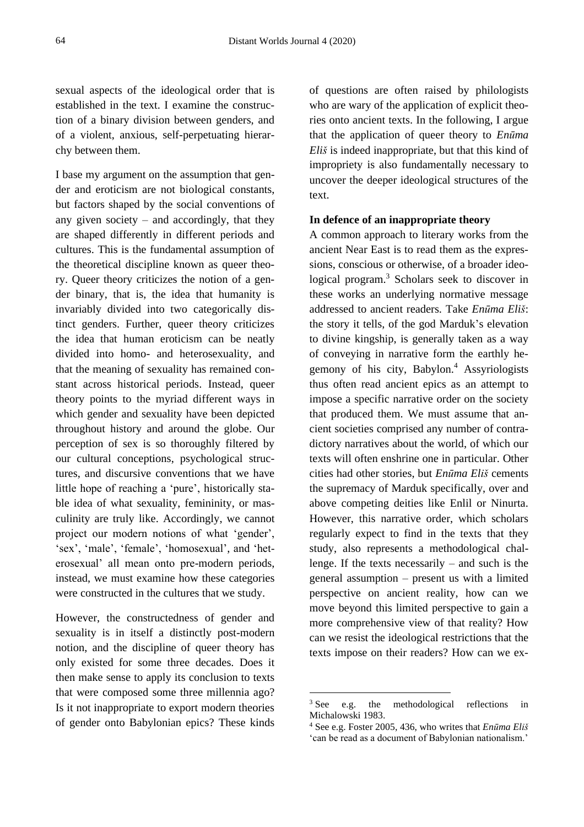sexual aspects of the ideological order that is established in the text. I examine the construction of a binary division between genders, and of a violent, anxious, self-perpetuating hierarchy between them.

I base my argument on the assumption that gender and eroticism are not biological constants, but factors shaped by the social conventions of any given society – and accordingly, that they are shaped differently in different periods and cultures. This is the fundamental assumption of the theoretical discipline known as queer theory. Queer theory criticizes the notion of a gender binary, that is, the idea that humanity is invariably divided into two categorically distinct genders. Further, queer theory criticizes the idea that human eroticism can be neatly divided into homo- and heterosexuality, and that the meaning of sexuality has remained constant across historical periods. Instead, queer theory points to the myriad different ways in which gender and sexuality have been depicted throughout history and around the globe. Our perception of sex is so thoroughly filtered by our cultural conceptions, psychological structures, and discursive conventions that we have little hope of reaching a 'pure', historically stable idea of what sexuality, femininity, or masculinity are truly like. Accordingly, we cannot project our modern notions of what 'gender', 'sex', 'male', 'female', 'homosexual', and 'heterosexual' all mean onto pre-modern periods, instead, we must examine how these categories were constructed in the cultures that we study.

However, the constructedness of gender and sexuality is in itself a distinctly post-modern notion, and the discipline of queer theory has only existed for some three decades. Does it then make sense to apply its conclusion to texts that were composed some three millennia ago? Is it not inappropriate to export modern theories of gender onto Babylonian epics? These kinds of questions are often raised by philologists who are wary of the application of explicit theories onto ancient texts. In the following, I argue that the application of queer theory to *Enūma Eliš* is indeed inappropriate, but that this kind of impropriety is also fundamentally necessary to uncover the deeper ideological structures of the text.

# **In defence of an inappropriate theory**

A common approach to literary works from the ancient Near East is to read them as the expressions, conscious or otherwise, of a broader ideological program.<sup>3</sup> Scholars seek to discover in these works an underlying normative message addressed to ancient readers. Take *Enūma Eliš*: the story it tells, of the god Marduk's elevation to divine kingship, is generally taken as a way of conveying in narrative form the earthly hegemony of his city, Babylon.<sup>4</sup> Assyriologists thus often read ancient epics as an attempt to impose a specific narrative order on the society that produced them. We must assume that ancient societies comprised any number of contradictory narratives about the world, of which our texts will often enshrine one in particular. Other cities had other stories, but *Enūma Eliš* cements the supremacy of Marduk specifically, over and above competing deities like Enlil or Ninurta. However, this narrative order, which scholars regularly expect to find in the texts that they study, also represents a methodological challenge. If the texts necessarily – and such is the general assumption – present us with a limited perspective on ancient reality, how can we move beyond this limited perspective to gain a more comprehensive view of that reality? How can we resist the ideological restrictions that the texts impose on their readers? How can we ex-

<sup>&</sup>lt;sup>3</sup> See e.g. the methodological reflections in Michalowski 1983.

<sup>4</sup> See e.g. Foster 2005, 436, who writes that *Enūma Eliš* 'can be read as a document of Babylonian nationalism.'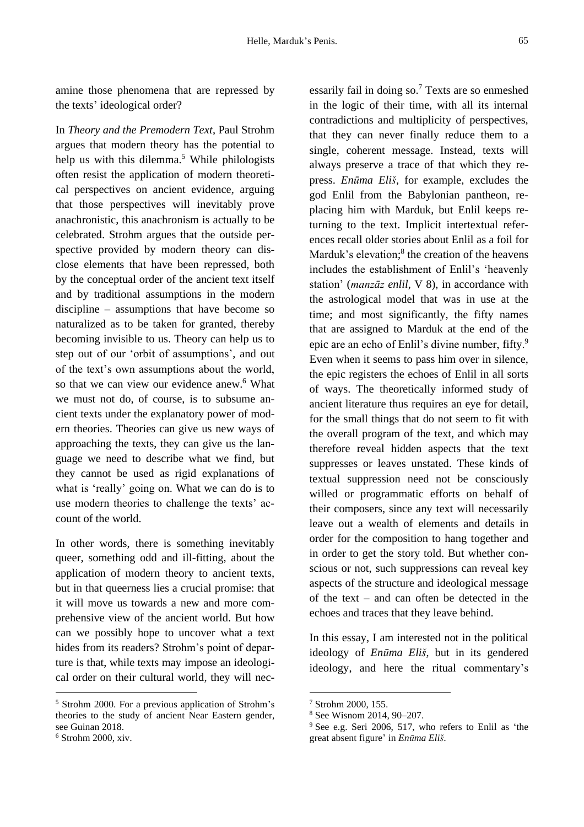amine those phenomena that are repressed by the texts' ideological order?

In *Theory and the Premodern Text*, Paul Strohm argues that modern theory has the potential to help us with this dilemma. $5$  While philologists often resist the application of modern theoretical perspectives on ancient evidence, arguing that those perspectives will inevitably prove anachronistic, this anachronism is actually to be celebrated. Strohm argues that the outside perspective provided by modern theory can disclose elements that have been repressed, both by the conceptual order of the ancient text itself and by traditional assumptions in the modern discipline – assumptions that have become so naturalized as to be taken for granted, thereby becoming invisible to us. Theory can help us to step out of our 'orbit of assumptions', and out of the text's own assumptions about the world, so that we can view our evidence anew.<sup>6</sup> What we must not do, of course, is to subsume ancient texts under the explanatory power of modern theories. Theories can give us new ways of approaching the texts, they can give us the language we need to describe what we find, but they cannot be used as rigid explanations of what is 'really' going on. What we can do is to use modern theories to challenge the texts' account of the world.

In other words, there is something inevitably queer, something odd and ill-fitting, about the application of modern theory to ancient texts, but in that queerness lies a crucial promise: that it will move us towards a new and more comprehensive view of the ancient world. But how can we possibly hope to uncover what a text hides from its readers? Strohm's point of departure is that, while texts may impose an ideological order on their cultural world, they will necessarily fail in doing so.<sup>7</sup> Texts are so enmeshed in the logic of their time, with all its internal contradictions and multiplicity of perspectives, that they can never finally reduce them to a single, coherent message. Instead, texts will always preserve a trace of that which they repress. *Enūma Eliš*, for example, excludes the god Enlil from the Babylonian pantheon, replacing him with Marduk, but Enlil keeps returning to the text. Implicit intertextual references recall older stories about Enlil as a foil for Marduk's elevation;<sup>8</sup> the creation of the heavens includes the establishment of Enlil's 'heavenly station' (*manzāz enlil*, V 8), in accordance with the astrological model that was in use at the time; and most significantly, the fifty names that are assigned to Marduk at the end of the epic are an echo of Enlil's divine number, fifty.<sup>9</sup> Even when it seems to pass him over in silence, the epic registers the echoes of Enlil in all sorts of ways. The theoretically informed study of ancient literature thus requires an eye for detail, for the small things that do not seem to fit with the overall program of the text, and which may therefore reveal hidden aspects that the text suppresses or leaves unstated. These kinds of textual suppression need not be consciously willed or programmatic efforts on behalf of their composers, since any text will necessarily leave out a wealth of elements and details in order for the composition to hang together and in order to get the story told. But whether conscious or not, such suppressions can reveal key aspects of the structure and ideological message of the text – and can often be detected in the echoes and traces that they leave behind.

In this essay, I am interested not in the political ideology of *Enūma Eliš*, but in its gendered ideology, and here the ritual commentary's

<sup>5</sup> Strohm 2000. For a previous application of Strohm's theories to the study of ancient Near Eastern gender, see Guinan 2018.

 $6$  Strohm 2000, xiv.

<sup>7</sup> Strohm 2000, 155.

<sup>8</sup> See Wisnom 2014, 90–207.

<sup>&</sup>lt;sup>9</sup> See e.g. Seri 2006, 517, who refers to Enlil as 'the great absent figure' in *Enūma Eliš*.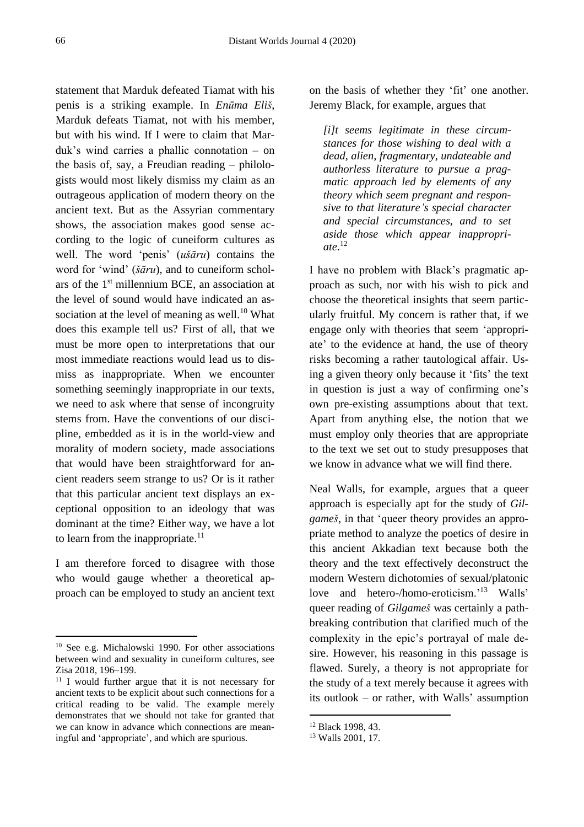statement that Marduk defeated Tiamat with his penis is a striking example. In *Enūma Eliš*, Marduk defeats Tiamat, not with his member, but with his wind. If I were to claim that Marduk's wind carries a phallic connotation – on the basis of, say, a Freudian reading – philologists would most likely dismiss my claim as an outrageous application of modern theory on the ancient text. But as the Assyrian commentary shows, the association makes good sense according to the logic of cuneiform cultures as well. The word 'penis' (*ušāru*) contains the word for 'wind' (*šāru*), and to cuneiform scholars of the  $1<sup>st</sup>$  millennium BCE, an association at the level of sound would have indicated an association at the level of meaning as well.<sup>10</sup> What does this example tell us? First of all, that we must be more open to interpretations that our most immediate reactions would lead us to dismiss as inappropriate. When we encounter something seemingly inappropriate in our texts, we need to ask where that sense of incongruity stems from. Have the conventions of our discipline, embedded as it is in the world-view and morality of modern society, made associations that would have been straightforward for ancient readers seem strange to us? Or is it rather that this particular ancient text displays an exceptional opposition to an ideology that was dominant at the time? Either way, we have a lot to learn from the inappropriate. $^{11}$ 

I am therefore forced to disagree with those who would gauge whether a theoretical approach can be employed to study an ancient text on the basis of whether they 'fit' one another. Jeremy Black, for example, argues that

*[i]t seems legitimate in these circumstances for those wishing to deal with a dead, alien, fragmentary, undateable and authorless literature to pursue a pragmatic approach led by elements of any theory which seem pregnant and responsive to that literature's special character and special circumstances, and to set aside those which appear inappropriate*. 12

I have no problem with Black's pragmatic approach as such, nor with his wish to pick and choose the theoretical insights that seem particularly fruitful. My concern is rather that, if we engage only with theories that seem 'appropriate' to the evidence at hand, the use of theory risks becoming a rather tautological affair. Using a given theory only because it 'fits' the text in question is just a way of confirming one's own pre-existing assumptions about that text. Apart from anything else, the notion that we must employ only theories that are appropriate to the text we set out to study presupposes that we know in advance what we will find there.

Neal Walls, for example, argues that a queer approach is especially apt for the study of *Gilgameš*, in that 'queer theory provides an appropriate method to analyze the poetics of desire in this ancient Akkadian text because both the theory and the text effectively deconstruct the modern Western dichotomies of sexual/platonic love and hetero-/homo-eroticism.'<sup>13</sup> Walls' queer reading of *Gilgameš* was certainly a pathbreaking contribution that clarified much of the complexity in the epic's portrayal of male desire. However, his reasoning in this passage is flawed. Surely, a theory is not appropriate for the study of a text merely because it agrees with its outlook – or rather, with Walls' assumption

<sup>10</sup> See e.g. Michalowski 1990. For other associations between wind and sexuality in cuneiform cultures, see Zisa 2018, 196–199.

<sup>&</sup>lt;sup>11</sup> I would further argue that it is not necessary for ancient texts to be explicit about such connections for a critical reading to be valid. The example merely demonstrates that we should not take for granted that we can know in advance which connections are meaningful and 'appropriate', and which are spurious.

<sup>12</sup> Black 1998, 43.

<sup>13</sup> Walls 2001, 17.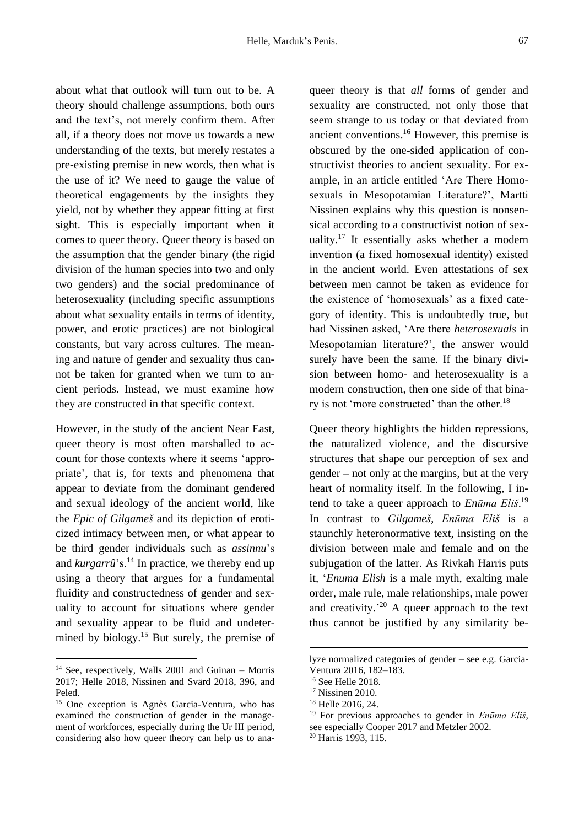about what that outlook will turn out to be. A theory should challenge assumptions, both ours and the text's, not merely confirm them. After all, if a theory does not move us towards a new understanding of the texts, but merely restates a pre-existing premise in new words, then what is the use of it? We need to gauge the value of theoretical engagements by the insights they yield, not by whether they appear fitting at first sight. This is especially important when it comes to queer theory. Queer theory is based on the assumption that the gender binary (the rigid division of the human species into two and only two genders) and the social predominance of heterosexuality (including specific assumptions about what sexuality entails in terms of identity, power, and erotic practices) are not biological constants, but vary across cultures. The meaning and nature of gender and sexuality thus cannot be taken for granted when we turn to ancient periods. Instead, we must examine how they are constructed in that specific context.

However, in the study of the ancient Near East, queer theory is most often marshalled to account for those contexts where it seems 'appropriate', that is, for texts and phenomena that appear to deviate from the dominant gendered and sexual ideology of the ancient world, like the *Epic of Gilgameš* and its depiction of eroticized intimacy between men, or what appear to be third gender individuals such as *assinnu*'s and *kurgarrû*'s.<sup>14</sup> In practice, we thereby end up using a theory that argues for a fundamental fluidity and constructedness of gender and sexuality to account for situations where gender and sexuality appear to be fluid and undetermined by biology.<sup>15</sup> But surely, the premise of queer theory is that *all* forms of gender and sexuality are constructed, not only those that seem strange to us today or that deviated from ancient conventions. <sup>16</sup> However, this premise is obscured by the one-sided application of constructivist theories to ancient sexuality. For example, in an article entitled 'Are There Homosexuals in Mesopotamian Literature?', Martti Nissinen explains why this question is nonsensical according to a constructivist notion of sexuality.<sup>17</sup> It essentially asks whether a modern invention (a fixed homosexual identity) existed in the ancient world. Even attestations of sex between men cannot be taken as evidence for the existence of 'homosexuals' as a fixed category of identity. This is undoubtedly true, but had Nissinen asked, 'Are there *heterosexuals* in Mesopotamian literature?', the answer would surely have been the same. If the binary division between homo- and heterosexuality is a modern construction, then one side of that binary is not 'more constructed' than the other.<sup>18</sup>

Queer theory highlights the hidden repressions, the naturalized violence, and the discursive structures that shape our perception of sex and gender – not only at the margins, but at the very heart of normality itself. In the following, I intend to take a queer approach to *Enūma Eliš*. 19 In contrast to *Gilgameš*, *Enūma Eliš* is a staunchly heteronormative text, insisting on the division between male and female and on the subjugation of the latter. As Rivkah Harris puts it, '*Enuma Elish* is a male myth, exalting male order, male rule, male relationships, male power and creativity.<sup>20</sup> A queer approach to the text thus cannot be justified by any similarity be-

 $14$  See, respectively, Walls 2001 and Guinan – Morris 2017; Helle 2018, Nissinen and Svärd 2018, 396, and Peled.

<sup>15</sup> One exception is Agnès Garcia-Ventura, who has examined the construction of gender in the management of workforces, especially during the Ur III period, considering also how queer theory can help us to ana-

lyze normalized categories of gender – see e.g. Garcia-Ventura 2016, 182–183.

<sup>16</sup> See Helle 2018.

<sup>&</sup>lt;sup>17</sup> Nissinen 2010.

<sup>18</sup> Helle 2016, 24.

<sup>19</sup> For previous approaches to gender in *Enūma Eliš*, see especially Cooper 2017 and Metzler 2002.

<sup>20</sup> Harris 1993, 115.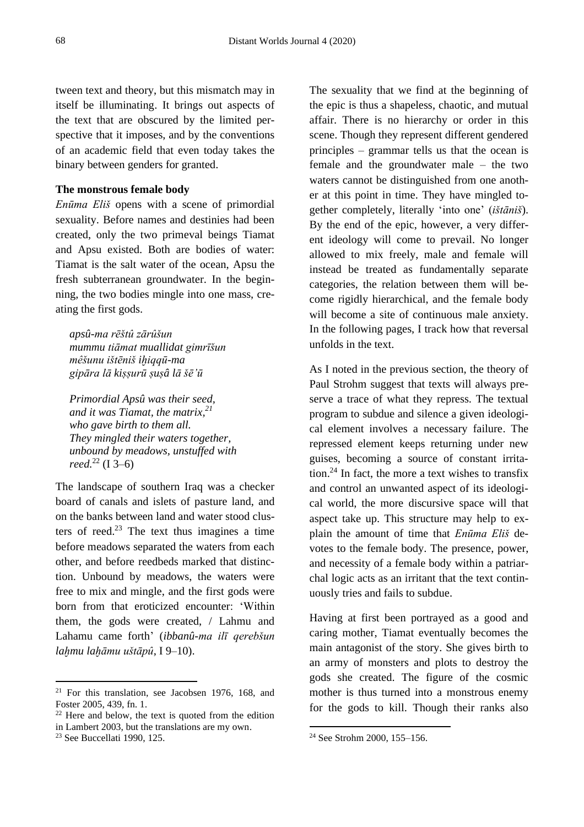tween text and theory, but this mismatch may in itself be illuminating. It brings out aspects of the text that are obscured by the limited perspective that it imposes, and by the conventions of an academic field that even today takes the binary between genders for granted.

# **The monstrous female body**

*Enūma Eliš* opens with a scene of primordial sexuality. Before names and destinies had been created, only the two primeval beings Tiamat and Apsu existed. Both are bodies of water: Tiamat is the salt water of the ocean, Apsu the fresh subterranean groundwater. In the beginning, the two bodies mingle into one mass, creating the first gods.

*apsû-ma rēštû zārûšun mummu tiāmat muallidat gimrīšun mêšunu ištēniš iḫiqqū-ma gipāra lā kiṣṣurū ṣuṣâ lā šē'ū*

*Primordial Apsû was their seed, and it was Tiamat, the matrix, 21 who gave birth to them all. They mingled their waters together, unbound by meadows, unstuffed with reed.* <sup>22</sup> (I 3–6)

The landscape of southern Iraq was a checker board of canals and islets of pasture land, and on the banks between land and water stood clusters of reed.<sup>23</sup> The text thus imagines a time before meadows separated the waters from each other, and before reedbeds marked that distinction. Unbound by meadows, the waters were free to mix and mingle, and the first gods were born from that eroticized encounter: 'Within them, the gods were created, / Lahmu and Lahamu came forth' (*ibbanû-ma ilī qerebšun laḫmu laḫāmu uštāpû*, I 9–10).

The sexuality that we find at the beginning of the epic is thus a shapeless, chaotic, and mutual affair. There is no hierarchy or order in this scene. Though they represent different gendered principles – grammar tells us that the ocean is female and the groundwater male – the two waters cannot be distinguished from one another at this point in time. They have mingled together completely, literally 'into one' (*ištāniš*). By the end of the epic, however, a very different ideology will come to prevail. No longer allowed to mix freely, male and female will instead be treated as fundamentally separate categories, the relation between them will become rigidly hierarchical, and the female body will become a site of continuous male anxiety. In the following pages, I track how that reversal unfolds in the text.

As I noted in the previous section, the theory of Paul Strohm suggest that texts will always preserve a trace of what they repress. The textual program to subdue and silence a given ideological element involves a necessary failure. The repressed element keeps returning under new guises, becoming a source of constant irritation. <sup>24</sup> In fact, the more a text wishes to transfix and control an unwanted aspect of its ideological world, the more discursive space will that aspect take up. This structure may help to explain the amount of time that *Enūma Eliš* devotes to the female body. The presence, power, and necessity of a female body within a patriarchal logic acts as an irritant that the text continuously tries and fails to subdue.

Having at first been portrayed as a good and caring mother, Tiamat eventually becomes the main antagonist of the story. She gives birth to an army of monsters and plots to destroy the gods she created. The figure of the cosmic mother is thus turned into a monstrous enemy for the gods to kill. Though their ranks also

<sup>21</sup> For this translation, see Jacobsen 1976, 168, and Foster 2005, 439, fn. 1.

 $22$  Here and below, the text is quoted from the edition in Lambert 2003, but the translations are my own.

<sup>&</sup>lt;sup>23</sup> See Buccellati 1990, 125.

<sup>24</sup> See Strohm 2000, 155–156.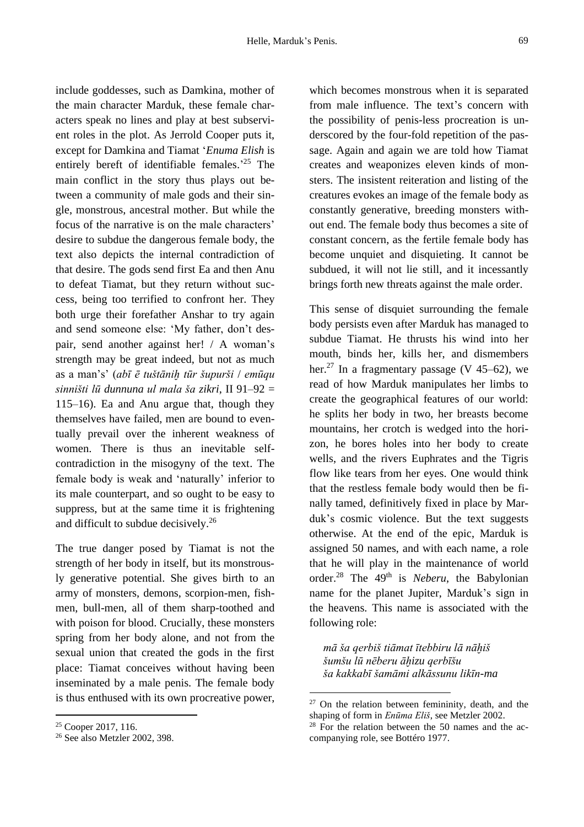include goddesses, such as Damkina, mother of the main character Marduk, these female characters speak no lines and play at best subservient roles in the plot. As Jerrold Cooper puts it, except for Damkina and Tiamat '*Enuma Elish* is entirely bereft of identifiable females.' <sup>25</sup> The main conflict in the story thus plays out between a community of male gods and their single, monstrous, ancestral mother. But while the focus of the narrative is on the male characters' desire to subdue the dangerous female body, the text also depicts the internal contradiction of that desire. The gods send first Ea and then Anu to defeat Tiamat, but they return without success, being too terrified to confront her. They both urge their forefather Anshar to try again and send someone else: 'My father, don't despair, send another against her! / A woman's strength may be great indeed, but not as much as a man's' (*abī ē tuštāniḫ tūr šupurši* / *emūqu sinništi lū dunnuna ul mala ša zikri*, II 91–92 = 115–16). Ea and Anu argue that, though they themselves have failed, men are bound to eventually prevail over the inherent weakness of women. There is thus an inevitable selfcontradiction in the misogyny of the text. The female body is weak and 'naturally' inferior to its male counterpart, and so ought to be easy to suppress, but at the same time it is frightening and difficult to subdue decisively.<sup>26</sup>

The true danger posed by Tiamat is not the strength of her body in itself, but its monstrously generative potential. She gives birth to an army of monsters, demons, scorpion-men, fishmen, bull-men, all of them sharp-toothed and with poison for blood. Crucially, these monsters spring from her body alone, and not from the sexual union that created the gods in the first place: Tiamat conceives without having been inseminated by a male penis. The female body is thus enthused with its own procreative power, which becomes monstrous when it is separated from male influence. The text's concern with the possibility of penis-less procreation is underscored by the four-fold repetition of the passage. Again and again we are told how Tiamat creates and weaponizes eleven kinds of monsters. The insistent reiteration and listing of the creatures evokes an image of the female body as constantly generative, breeding monsters without end. The female body thus becomes a site of constant concern, as the fertile female body has become unquiet and disquieting. It cannot be subdued, it will not lie still, and it incessantly brings forth new threats against the male order.

This sense of disquiet surrounding the female body persists even after Marduk has managed to subdue Tiamat. He thrusts his wind into her mouth, binds her, kills her, and dismembers her.<sup>27</sup> In a fragmentary passage (V 45–62), we read of how Marduk manipulates her limbs to create the geographical features of our world: he splits her body in two, her breasts become mountains, her crotch is wedged into the horizon, he bores holes into her body to create wells, and the rivers Euphrates and the Tigris flow like tears from her eyes. One would think that the restless female body would then be finally tamed, definitively fixed in place by Marduk's cosmic violence. But the text suggests otherwise. At the end of the epic, Marduk is assigned 50 names, and with each name, a role that he will play in the maintenance of world order.<sup>28</sup> The 49<sup>th</sup> is *Neberu*, the Babylonian name for the planet Jupiter, Marduk's sign in the heavens. This name is associated with the following role:

*mā ša qerbiš tiāmat ītebbiru lā nāḫiš šumšu lū nēberu āḫizu qerbīšu ša kakkabī šamāmi alkāssunu likīn-ma*

<sup>25</sup> Cooper 2017, 116.

<sup>&</sup>lt;sup>26</sup> See also Metzler 2002, 398.

 $27$  On the relation between femininity, death, and the shaping of form in *Enūma Eliš*, see Metzler 2002.

 $28$  For the relation between the 50 names and the accompanying role, see Bottéro 1977.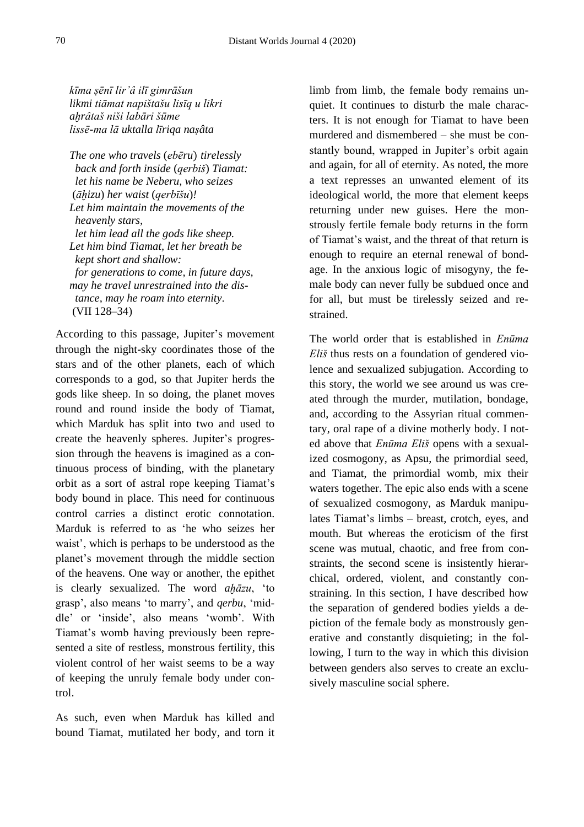*kīma ṣēnī lir'â ilī gimrāšun likmi tiāmat napištašu lisīq u likri aḫrâtaš niši labāri šūme lissē-ma lā uktalla līriqa naṣâta*

*The one who travels* (*ebēru*) *tirelessly back and forth inside* (*qerbiš*) *Tiamat: let his name be Neberu, who seizes*  (*āḫizu*) *her waist* (*qerbīšu*)*! Let him maintain the movements of the heavenly stars, let him lead all the gods like sheep. Let him bind Tiamat, let her breath be kept short and shallow: for generations to come, in future days, may he travel unrestrained into the dis tance, may he roam into eternity.*  (VII 128–34)

According to this passage, Jupiter's movement through the night-sky coordinates those of the stars and of the other planets, each of which corresponds to a god, so that Jupiter herds the gods like sheep. In so doing, the planet moves round and round inside the body of Tiamat, which Marduk has split into two and used to create the heavenly spheres. Jupiter's progression through the heavens is imagined as a continuous process of binding, with the planetary orbit as a sort of astral rope keeping Tiamat's body bound in place. This need for continuous control carries a distinct erotic connotation. Marduk is referred to as 'he who seizes her waist', which is perhaps to be understood as the planet's movement through the middle section of the heavens. One way or another, the epithet is clearly sexualized. The word *aḫāzu*, 'to grasp', also means 'to marry', and *qerbu*, 'middle' or 'inside', also means 'womb'. With Tiamat's womb having previously been represented a site of restless, monstrous fertility, this violent control of her waist seems to be a way of keeping the unruly female body under control.

As such, even when Marduk has killed and bound Tiamat, mutilated her body, and torn it limb from limb, the female body remains unquiet. It continues to disturb the male characters. It is not enough for Tiamat to have been murdered and dismembered – she must be constantly bound, wrapped in Jupiter's orbit again and again, for all of eternity. As noted, the more a text represses an unwanted element of its ideological world, the more that element keeps returning under new guises. Here the monstrously fertile female body returns in the form of Tiamat's waist, and the threat of that return is enough to require an eternal renewal of bondage. In the anxious logic of misogyny, the female body can never fully be subdued once and for all, but must be tirelessly seized and restrained.

The world order that is established in *Enūma Eliš* thus rests on a foundation of gendered violence and sexualized subjugation. According to this story, the world we see around us was created through the murder, mutilation, bondage, and, according to the Assyrian ritual commentary, oral rape of a divine motherly body. I noted above that *Enūma Eliš* opens with a sexualized cosmogony, as Apsu, the primordial seed, and Tiamat, the primordial womb, mix their waters together. The epic also ends with a scene of sexualized cosmogony, as Marduk manipulates Tiamat's limbs – breast, crotch, eyes, and mouth. But whereas the eroticism of the first scene was mutual, chaotic, and free from constraints, the second scene is insistently hierarchical, ordered, violent, and constantly constraining. In this section, I have described how the separation of gendered bodies yields a depiction of the female body as monstrously generative and constantly disquieting; in the following, I turn to the way in which this division between genders also serves to create an exclusively masculine social sphere.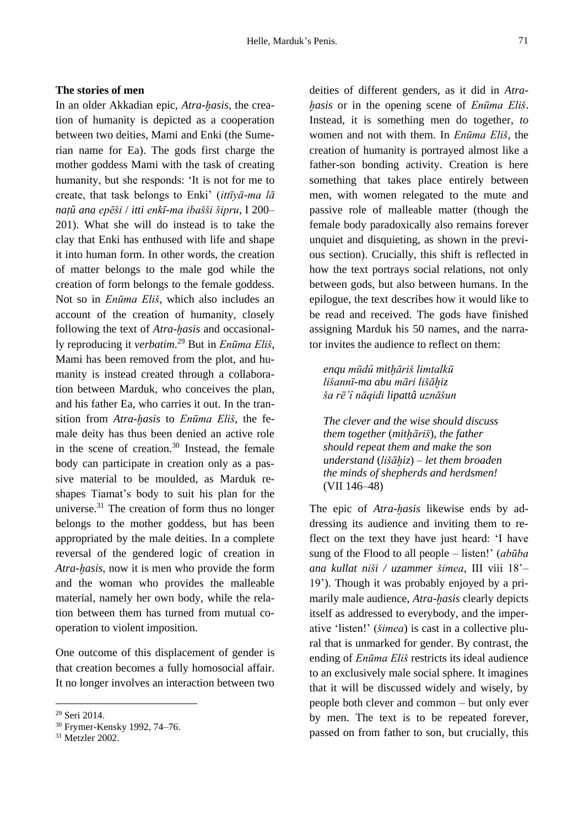# **The stories of men**

In an older Akkadian epic, *Atra-ḫasis*, the creation of humanity is depicted as a cooperation between two deities, Mami and Enki (the Sumerian name for Ea). The gods first charge the mother goddess Mami with the task of creating humanity, but she responds: 'It is not for me to create, that task belongs to Enki' (*ittīyā-ma lā naṭû ana epēši* / *itti enkī-ma ibašši šipru*, I 200– 201). What she will do instead is to take the clay that Enki has enthused with life and shape it into human form. In other words, the creation of matter belongs to the male god while the creation of form belongs to the female goddess. Not so in *Enūma Eliš*, which also includes an account of the creation of humanity, closely following the text of *Atra-hasis* and occasionally reproducing it *verbatim*. <sup>29</sup> But in *Enūma Eliš*, Mami has been removed from the plot, and humanity is instead created through a collaboration between Marduk, who conceives the plan, and his father Ea, who carries it out. In the transition from *Atra-ḫasis* to *Enūma Eliš*, the female deity has thus been denied an active role in the scene of creation. $30$  Instead, the female body can participate in creation only as a passive material to be moulded, as Marduk reshapes Tiamat's body to suit his plan for the universe. $31$  The creation of form thus no longer belongs to the mother goddess, but has been appropriated by the male deities. In a complete reversal of the gendered logic of creation in *Atra-ḫasis*, now it is men who provide the form and the woman who provides the malleable material, namely her own body, while the relation between them has turned from mutual cooperation to violent imposition.

One outcome of this displacement of gender is that creation becomes a fully homosocial affair. It no longer involves an interaction between two deities of different genders, as it did in *Atraḫasis* or in the opening scene of *Enūma Eliš*. Instead, it is something men do together, *to* women and not with them. In *Enūma Eliš*, the creation of humanity is portrayed almost like a father-son bonding activity. Creation is here something that takes place entirely between men, with women relegated to the mute and passive role of malleable matter (though the female body paradoxically also remains forever unquiet and disquieting, as shown in the previous section). Crucially, this shift is reflected in how the text portrays social relations, not only between gods, but also between humans. In the epilogue, the text describes how it would like to be read and received. The gods have finished assigning Marduk his 50 names, and the narrator invites the audience to reflect on them:

*enqu mūdû mitḫāriš limtalkū lišannī-ma abu māri lišāḫiz ša rē'î nāqidi lipattâ uznāšun*

*The clever and the wise should discuss them together* (*mitḫāriš*)*, the father should repeat them and make the son understand* (*lišāḫiz*) *– let them broaden the minds of shepherds and herdsmen!*  (VII 146–48)

The epic of *Atra-ḫasis* likewise ends by addressing its audience and inviting them to reflect on the text they have just heard: 'I have sung of the Flood to all people – listen!' (*abūba ana kullat niši / uzammer šimea*, III viii 18'– 19'). Though it was probably enjoyed by a primarily male audience, *Atra-ḫasis* clearly depicts itself as addressed to everybody, and the imperative 'listen!' (*šimea*) is cast in a collective plural that is unmarked for gender. By contrast, the ending of *Enūma Eliš* restricts its ideal audience to an exclusively male social sphere. It imagines that it will be discussed widely and wisely, by people both clever and common – but only ever by men. The text is to be repeated forever, passed on from father to son, but crucially, this

<sup>29</sup> Seri 2014.

<sup>30</sup> Frymer-Kensky 1992, 74–76.

<sup>31</sup> Metzler 2002.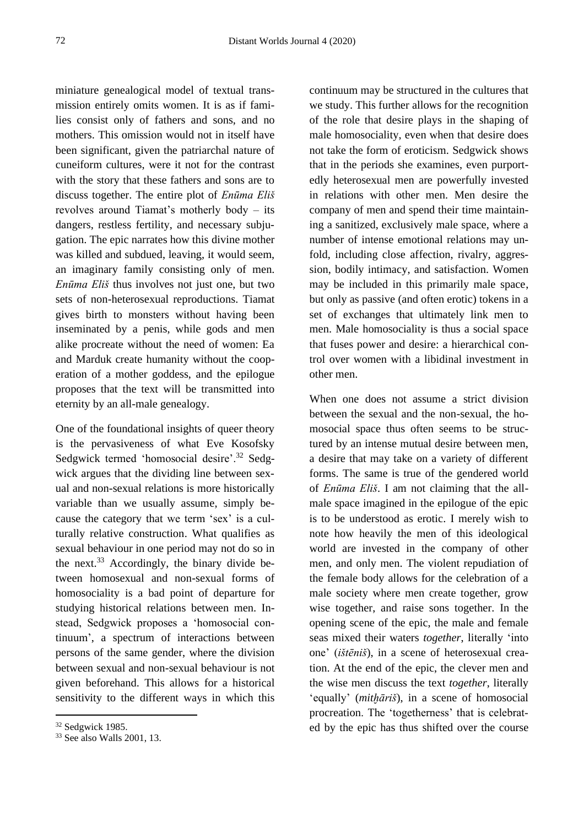miniature genealogical model of textual transmission entirely omits women. It is as if families consist only of fathers and sons, and no mothers. This omission would not in itself have been significant, given the patriarchal nature of cuneiform cultures, were it not for the contrast with the story that these fathers and sons are to discuss together. The entire plot of *Enūma Eliš* revolves around Tiamat's motherly body – its dangers, restless fertility, and necessary subjugation. The epic narrates how this divine mother was killed and subdued, leaving, it would seem, an imaginary family consisting only of men. *Enūma Eliš* thus involves not just one, but two sets of non-heterosexual reproductions. Tiamat gives birth to monsters without having been inseminated by a penis, while gods and men alike procreate without the need of women: Ea and Marduk create humanity without the cooperation of a mother goddess, and the epilogue proposes that the text will be transmitted into eternity by an all-male genealogy.

One of the foundational insights of queer theory is the pervasiveness of what Eve Kosofsky Sedgwick termed 'homosocial desire'.<sup>32</sup> Sedgwick argues that the dividing line between sexual and non-sexual relations is more historically variable than we usually assume, simply because the category that we term 'sex' is a culturally relative construction. What qualifies as sexual behaviour in one period may not do so in the next.<sup>33</sup> Accordingly, the binary divide between homosexual and non-sexual forms of homosociality is a bad point of departure for studying historical relations between men. Instead, Sedgwick proposes a 'homosocial continuum', a spectrum of interactions between persons of the same gender, where the division between sexual and non-sexual behaviour is not given beforehand. This allows for a historical sensitivity to the different ways in which this continuum may be structured in the cultures that we study. This further allows for the recognition of the role that desire plays in the shaping of male homosociality, even when that desire does not take the form of eroticism. Sedgwick shows that in the periods she examines, even purportedly heterosexual men are powerfully invested in relations with other men. Men desire the company of men and spend their time maintaining a sanitized, exclusively male space, where a number of intense emotional relations may unfold, including close affection, rivalry, aggression, bodily intimacy, and satisfaction. Women may be included in this primarily male space, but only as passive (and often erotic) tokens in a set of exchanges that ultimately link men to men. Male homosociality is thus a social space that fuses power and desire: a hierarchical control over women with a libidinal investment in other men.

When one does not assume a strict division between the sexual and the non-sexual, the homosocial space thus often seems to be structured by an intense mutual desire between men, a desire that may take on a variety of different forms. The same is true of the gendered world of *Enūma Eliš*. I am not claiming that the allmale space imagined in the epilogue of the epic is to be understood as erotic. I merely wish to note how heavily the men of this ideological world are invested in the company of other men, and only men. The violent repudiation of the female body allows for the celebration of a male society where men create together, grow wise together, and raise sons together. In the opening scene of the epic, the male and female seas mixed their waters *together*, literally 'into one' (*ištēniš*), in a scene of heterosexual creation. At the end of the epic, the clever men and the wise men discuss the text *together*, literally 'equally' (*mitḫāriš*), in a scene of homosocial procreation. The 'togetherness' that is celebrated by the epic has thus shifted over the course

<sup>32</sup> Sedgwick 1985.

<sup>33</sup> See also Walls 2001, 13.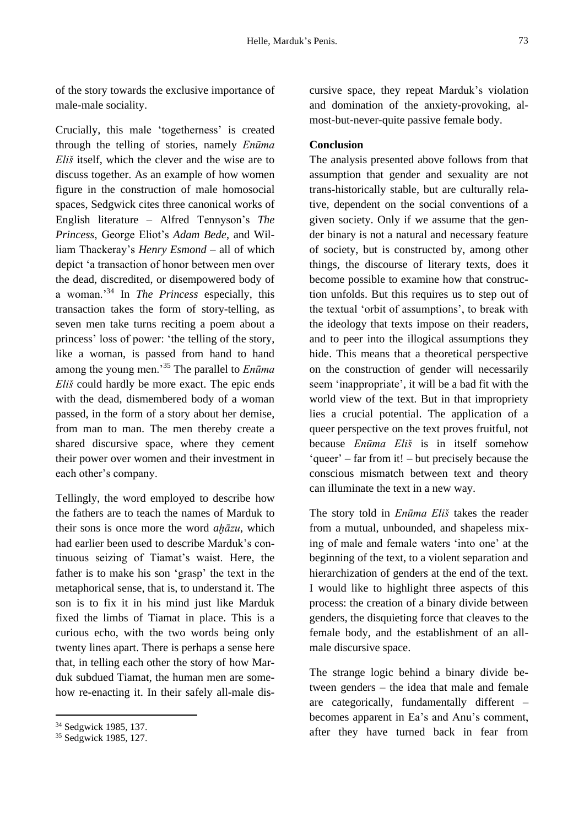of the story towards the exclusive importance of male-male sociality.

Crucially, this male 'togetherness' is created through the telling of stories, namely *Enūma Eliš* itself, which the clever and the wise are to discuss together. As an example of how women figure in the construction of male homosocial spaces, Sedgwick cites three canonical works of English literature – Alfred Tennyson's *The Princess*, George Eliot's *Adam Bede*, and William Thackeray's *Henry Esmond* – all of which depict 'a transaction of honor between men over the dead, discredited, or disempowered body of a woman.'<sup>34</sup> In *The Princess* especially, this transaction takes the form of story-telling, as seven men take turns reciting a poem about a princess' loss of power: 'the telling of the story, like a woman, is passed from hand to hand among the young men.'<sup>35</sup> The parallel to *Enūma Eliš* could hardly be more exact. The epic ends with the dead, dismembered body of a woman passed, in the form of a story about her demise, from man to man. The men thereby create a shared discursive space, where they cement their power over women and their investment in each other's company.

Tellingly, the word employed to describe how the fathers are to teach the names of Marduk to their sons is once more the word *aḫāzu*, which had earlier been used to describe Marduk's continuous seizing of Tiamat's waist. Here, the father is to make his son 'grasp' the text in the metaphorical sense, that is, to understand it. The son is to fix it in his mind just like Marduk fixed the limbs of Tiamat in place. This is a curious echo, with the two words being only twenty lines apart. There is perhaps a sense here that, in telling each other the story of how Marduk subdued Tiamat, the human men are somehow re-enacting it. In their safely all-male discursive space, they repeat Marduk's violation and domination of the anxiety-provoking, almost-but-never-quite passive female body.

# **Conclusion**

The analysis presented above follows from that assumption that gender and sexuality are not trans-historically stable, but are culturally relative, dependent on the social conventions of a given society. Only if we assume that the gender binary is not a natural and necessary feature of society, but is constructed by, among other things, the discourse of literary texts, does it become possible to examine how that construction unfolds. But this requires us to step out of the textual 'orbit of assumptions', to break with the ideology that texts impose on their readers, and to peer into the illogical assumptions they hide. This means that a theoretical perspective on the construction of gender will necessarily seem 'inappropriate', it will be a bad fit with the world view of the text. But in that impropriety lies a crucial potential. The application of a queer perspective on the text proves fruitful, not because *Enūma Eliš* is in itself somehow 'queer' – far from it! – but precisely because the conscious mismatch between text and theory can illuminate the text in a new way.

The story told in *Enūma Eliš* takes the reader from a mutual, unbounded, and shapeless mixing of male and female waters 'into one' at the beginning of the text, to a violent separation and hierarchization of genders at the end of the text. I would like to highlight three aspects of this process: the creation of a binary divide between genders, the disquieting force that cleaves to the female body, and the establishment of an allmale discursive space.

The strange logic behind a binary divide between genders – the idea that male and female are categorically, fundamentally different – becomes apparent in Ea's and Anu's comment, after they have turned back in fear from

<sup>34</sup> Sedgwick 1985, 137.

<sup>&</sup>lt;sup>35</sup> Sedgwick 1985, 127.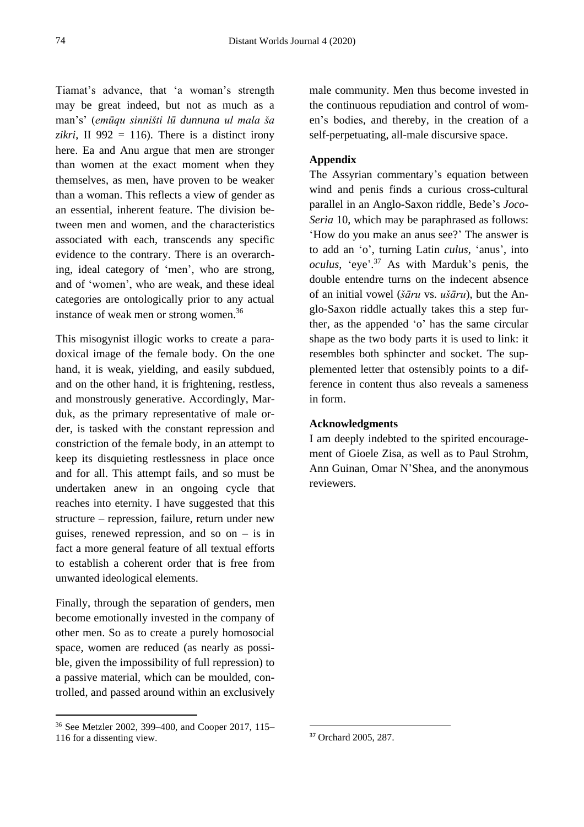Tiamat's advance, that 'a woman's strength may be great indeed, but not as much as a man's' (*emūqu sinništi lū dunnuna ul mala ša zikri*, II 992 = 116). There is a distinct irony here. Ea and Anu argue that men are stronger than women at the exact moment when they themselves, as men, have proven to be weaker than a woman. This reflects a view of gender as an essential, inherent feature. The division between men and women, and the characteristics associated with each, transcends any specific evidence to the contrary. There is an overarching, ideal category of 'men', who are strong, and of 'women', who are weak, and these ideal categories are ontologically prior to any actual instance of weak men or strong women.<sup>36</sup>

This misogynist illogic works to create a paradoxical image of the female body. On the one hand, it is weak, yielding, and easily subdued, and on the other hand, it is frightening, restless, and monstrously generative. Accordingly, Marduk, as the primary representative of male order, is tasked with the constant repression and constriction of the female body, in an attempt to keep its disquieting restlessness in place once and for all. This attempt fails, and so must be undertaken anew in an ongoing cycle that reaches into eternity. I have suggested that this structure – repression, failure, return under new guises, renewed repression, and so on  $-$  is in fact a more general feature of all textual efforts to establish a coherent order that is free from unwanted ideological elements.

Finally, through the separation of genders, men become emotionally invested in the company of other men. So as to create a purely homosocial space, women are reduced (as nearly as possible, given the impossibility of full repression) to a passive material, which can be moulded, controlled, and passed around within an exclusively male community. Men thus become invested in the continuous repudiation and control of women's bodies, and thereby, in the creation of a self-perpetuating, all-male discursive space.

# **Appendix**

The Assyrian commentary's equation between wind and penis finds a curious cross-cultural parallel in an Anglo-Saxon riddle, Bede's *Joco-Seria* 10, which may be paraphrased as follows: 'How do you make an anus see?' The answer is to add an 'o', turning Latin *culus*, 'anus', into *oculus*, 'eye'. <sup>37</sup> As with Marduk's penis, the double entendre turns on the indecent absence of an initial vowel (*šāru* vs. *ušāru*), but the Anglo-Saxon riddle actually takes this a step further, as the appended 'o' has the same circular shape as the two body parts it is used to link: it resembles both sphincter and socket. The supplemented letter that ostensibly points to a difference in content thus also reveals a sameness in form.

# **Acknowledgments**

I am deeply indebted to the spirited encouragement of Gioele Zisa, as well as to Paul Strohm, Ann Guinan, Omar N'Shea, and the anonymous reviewers.

<sup>36</sup> See Metzler 2002, 399–400, and Cooper 2017, 115– 116 for a dissenting view.

<sup>37</sup> Orchard 2005, 287.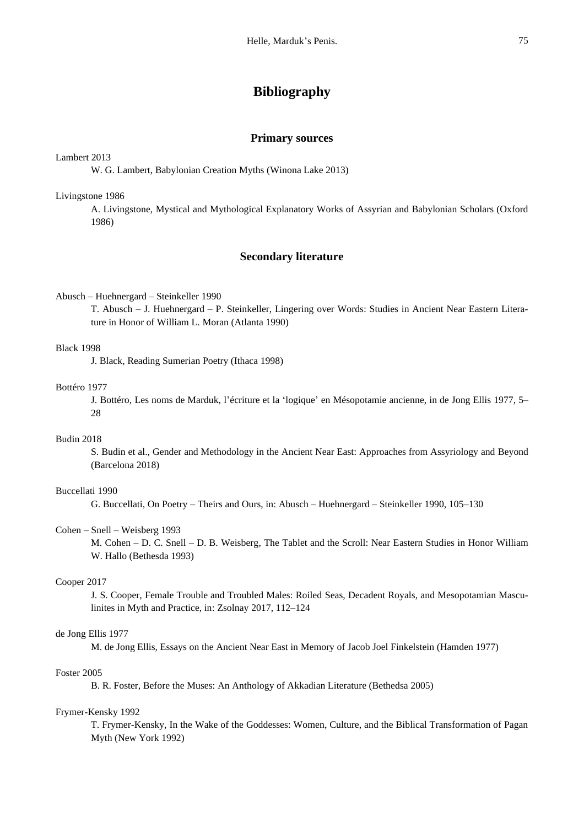# **Bibliography**

#### **Primary sources**

## Lambert 2013

W. G. Lambert, Babylonian Creation Myths (Winona Lake 2013)

#### Livingstone 1986

A. Livingstone, Mystical and Mythological Explanatory Works of Assyrian and Babylonian Scholars (Oxford 1986)

# **Secondary literature**

## Abusch – Huehnergard – Steinkeller 1990

T. Abusch – J. Huehnergard – P. Steinkeller, Lingering over Words: Studies in Ancient Near Eastern Literature in Honor of William L. Moran (Atlanta 1990)

# Black 1998

J. Black, Reading Sumerian Poetry (Ithaca 1998)

## Bottéro 1977

J. Bottéro, Les noms de Marduk, l'écriture et la 'logique' en Mésopotamie ancienne, in de Jong Ellis 1977, 5– 28

# Budin 2018

S. Budin et al., Gender and Methodology in the Ancient Near East: Approaches from Assyriology and Beyond (Barcelona 2018)

# Buccellati 1990

G. Buccellati, On Poetry – Theirs and Ours, in: Abusch – Huehnergard – Steinkeller 1990, 105–130

## Cohen – Snell – Weisberg 1993

M. Cohen – D. C. Snell – D. B. Weisberg, The Tablet and the Scroll: Near Eastern Studies in Honor William W. Hallo (Bethesda 1993)

# Cooper 2017

J. S. Cooper, Female Trouble and Troubled Males: Roiled Seas, Decadent Royals, and Mesopotamian Masculinites in Myth and Practice, in: Zsolnay 2017, 112–124

#### de Jong Ellis 1977

M. de Jong Ellis, Essays on the Ancient Near East in Memory of Jacob Joel Finkelstein (Hamden 1977)

## Foster 2005

B. R. Foster, Before the Muses: An Anthology of Akkadian Literature (Bethedsa 2005)

#### Frymer-Kensky 1992

T. Frymer-Kensky, In the Wake of the Goddesses: Women, Culture, and the Biblical Transformation of Pagan Myth (New York 1992)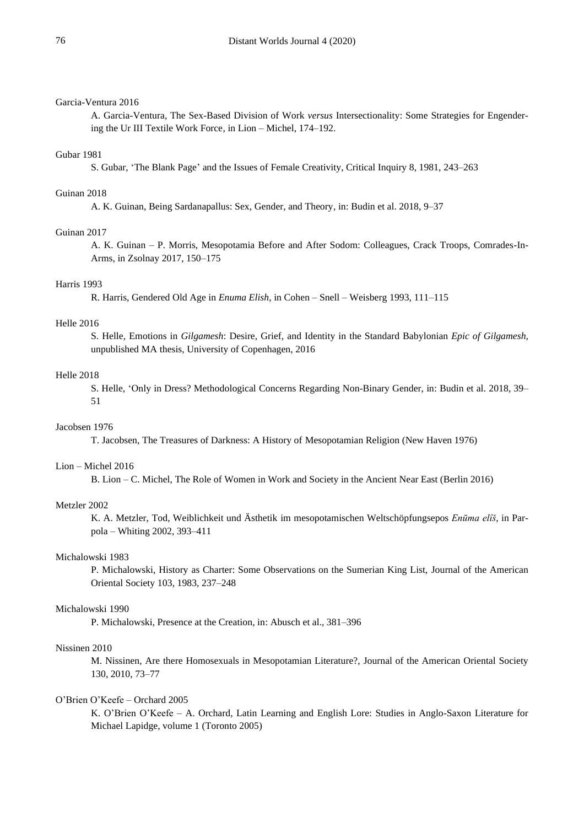# Garcia-Ventura 2016

A. Garcia-Ventura, The Sex-Based Division of Work *versus* Intersectionality: Some Strategies for Engendering the Ur III Textile Work Force, in Lion – Michel, 174–192.

#### Gubar 1981

S. Gubar, 'The Blank Page' and the Issues of Female Creativity, Critical Inquiry 8, 1981, 243–263

#### Guinan 2018

A. K. Guinan, Being Sardanapallus: Sex, Gender, and Theory, in: Budin et al. 2018, 9–37

# Guinan 2017

A. K. Guinan – P. Morris, Mesopotamia Before and After Sodom: Colleagues, Crack Troops, Comrades-In-Arms, in Zsolnay 2017, 150–175

#### Harris 1993

R. Harris, Gendered Old Age in *Enuma Elish*, in Cohen – Snell – Weisberg 1993, 111–115

# Helle 2016

S. Helle, Emotions in *Gilgamesh*: Desire, Grief, and Identity in the Standard Babylonian *Epic of Gilgamesh*, unpublished MA thesis, University of Copenhagen, 2016

#### Helle 2018

S. Helle, 'Only in Dress? Methodological Concerns Regarding Non-Binary Gender, in: Budin et al. 2018, 39– 51

#### Jacobsen 1976

T. Jacobsen, The Treasures of Darkness: A History of Mesopotamian Religion (New Haven 1976)

#### Lion – Michel 2016

B. Lion – C. Michel, The Role of Women in Work and Society in the Ancient Near East (Berlin 2016)

#### Metzler 2002

K. A. Metzler, Tod, Weiblichkeit und Ästhetik im mesopotamischen Weltschöpfungsepos *Enūma elîš*, in Parpola – Whiting 2002, 393–411

### Michalowski 1983

P. Michalowski, History as Charter: Some Observations on the Sumerian King List, Journal of the American Oriental Society 103, 1983, 237–248

# Michalowski 1990

P. Michalowski, Presence at the Creation, in: Abusch et al., 381–396

#### Nissinen 2010

M. Nissinen, Are there Homosexuals in Mesopotamian Literature?, Journal of the American Oriental Society 130, 2010, 73–77

#### O'Brien O'Keefe – Orchard 2005

K. O'Brien O'Keefe – A. Orchard, Latin Learning and English Lore: Studies in Anglo-Saxon Literature for Michael Lapidge, volume 1 (Toronto 2005)